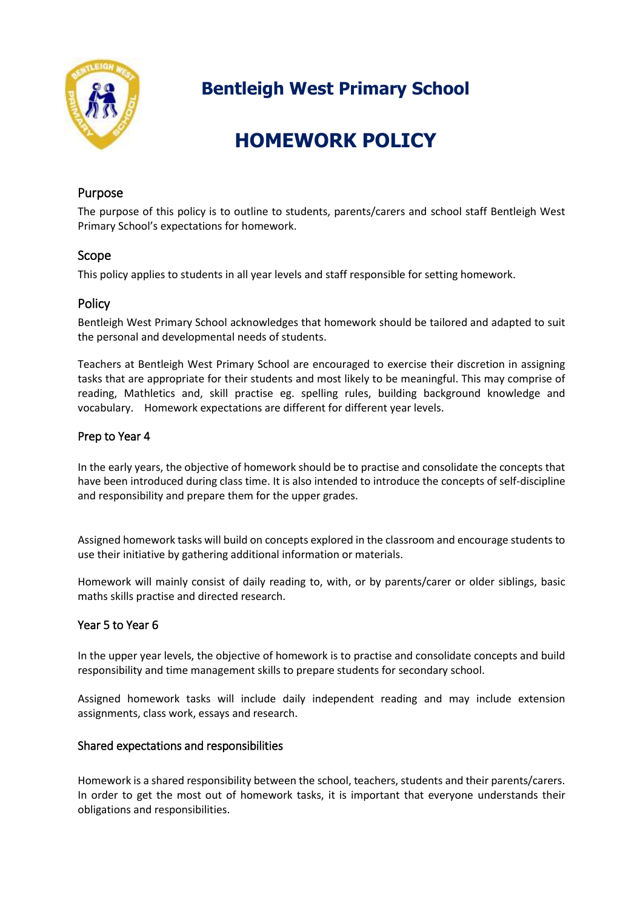

**Bentleigh West Primary School**

# **HOMEWORK POLICY**

# Purpose

The purpose of this policy is to outline to students, parents/carers and school staff Bentleigh West Primary School's expectations for homework.

# Scope

This policy applies to students in all year levels and staff responsible for setting homework.

# Policy

Bentleigh West Primary School acknowledges that homework should be tailored and adapted to suit the personal and developmental needs of students.

Teachers at Bentleigh West Primary School are encouraged to exercise their discretion in assigning tasks that are appropriate for their students and most likely to be meaningful. This may comprise of reading, Mathletics and, skill practise eg. spelling rules, building background knowledge and vocabulary. Homework expectations are different for different year levels.

# Prep to Year 4

In the early years, the objective of homework should be to practise and consolidate the concepts that have been introduced during class time. It is also intended to introduce the concepts of self-discipline and responsibility and prepare them for the upper grades.

Assigned homework tasks will build on concepts explored in the classroom and encourage students to use their initiative by gathering additional information or materials.

Homework will mainly consist of daily reading to, with, or by parents/carer or older siblings, basic maths skills practise and directed research.

#### Year 5 to Year 6

In the upper year levels, the objective of homework is to practise and consolidate concepts and build responsibility and time management skills to prepare students for secondary school.

Assigned homework tasks will include daily independent reading and may include extension assignments, class work, essays and research.

#### Shared expectations and responsibilities

Homework is a shared responsibility between the school, teachers, students and their parents/carers. In order to get the most out of homework tasks, it is important that everyone understands their obligations and responsibilities.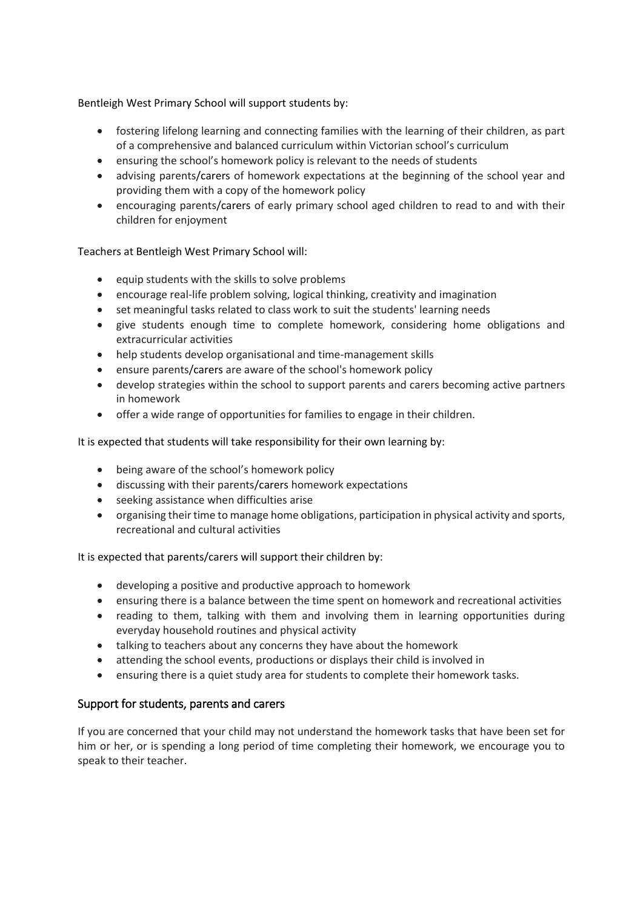Bentleigh West Primary School will support students by:

- fostering lifelong learning and connecting families with the learning of their children, as part of a comprehensive and balanced curriculum within Victorian school's curriculum
- ensuring the school's homework policy is relevant to the needs of students
- advising parents/carers of homework expectations at the beginning of the school year and providing them with a copy of the homework policy
- encouraging parents/carers of early primary school aged children to read to and with their children for enjoyment

Teachers at Bentleigh West Primary School will:

- $\bullet$  equip students with the skills to solve problems
- encourage real-life problem solving, logical thinking, creativity and imagination
- set meaningful tasks related to class work to suit the students' learning needs
- give students enough time to complete homework, considering home obligations and extracurricular activities
- help students develop organisational and time-management skills
- ensure parents/carers are aware of the school's homework policy
- develop strategies within the school to support parents and carers becoming active partners in homework
- offer a wide range of opportunities for families to engage in their children.

It is expected that students will take responsibility for their own learning by:

- being aware of the school's homework policy
- discussing with their parents/carers homework expectations
- seeking assistance when difficulties arise
- organising their time to manage home obligations, participation in physical activity and sports, recreational and cultural activities

#### It is expected that parents/carers will support their children by:

- developing a positive and productive approach to homework
- ensuring there is a balance between the time spent on homework and recreational activities
- reading to them, talking with them and involving them in learning opportunities during everyday household routines and physical activity
- talking to teachers about any concerns they have about the homework
- attending the school events, productions or displays their child is involved in
- ensuring there is a quiet study area for students to complete their homework tasks.

#### Support for students, parents and carers

If you are concerned that your child may not understand the homework tasks that have been set for him or her, or is spending a long period of time completing their homework, we encourage you to speak to their teacher.